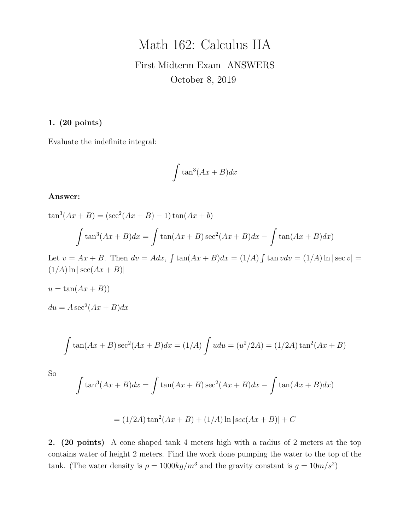# Math 162: Calculus IIA

## First Midterm Exam ANSWERS October 8, 2019

#### **1. (20 points)**

Evaluate the indefinite integral:

$$
\int \tan^3(Ax+B)dx
$$

#### **Answer:**

 $\tan^3(Ax+B) = (\sec^2(Ax+B)-1)\tan(Ax+b)$ 

$$
\int \tan^3(Ax+B)dx = \int \tan(Ax+B)\sec^2(Ax+B)dx - \int \tan(Ax+B)dx
$$

Let  $v = Ax + B$ . Then  $dv = Adx$ ,  $\int \tan(Ax + B)dx = (1/A) \int \tan v dv = (1/A) \ln |\sec v|$  $(1/A) \ln |\sec(Ax + B)|$ 

$$
u = \tan(Ax + B))
$$

 $du = A \sec^2(Ax + B)dx$ 

$$
\int \tan(Ax+B)\sec^2(Ax+B)dx = (1/A)\int udu = (u^2/2A) = (1/2A)\tan^2(Ax+B)
$$

So

$$
\int \tan^3(Ax+B)dx = \int \tan(Ax+B)\sec^2(Ax+B)dx - \int \tan(Ax+B)dx
$$

$$
= (1/2A) \tan^2(Ax + B) + (1/A) \ln|\sec(Ax + B)| + C
$$

**2. (20 points)** A cone shaped tank 4 meters high with a radius of 2 meters at the top contains water of height 2 meters. Find the work done pumping the water to the top of the tank. (The water density is  $\rho = 1000 \frac{kg}{m^3}$  and the gravity constant is  $g = 10 \frac{m}{s^2}$ )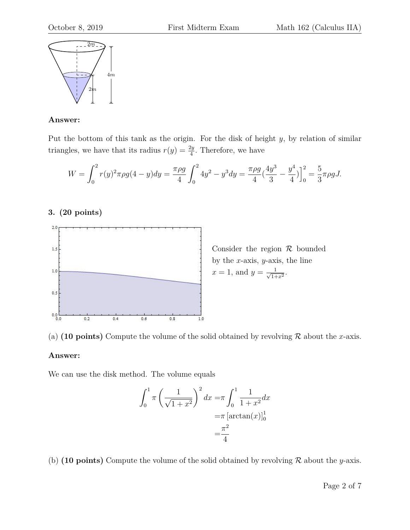

#### **Answer:**

Put the bottom of this tank as the origin. For the disk of height  $y$ , by relation of similar triangles, we have that its radius  $r(y) = \frac{2y}{4}$ . Therefore, we have

$$
W = \int_0^2 r(y)^2 \pi \rho g (4 - y) dy = \frac{\pi \rho g}{4} \int_0^2 4y^2 - y^3 dy = \frac{\pi \rho g}{4} \left(\frac{4y^3}{3} - \frac{y^4}{4}\right) \Big|_0^2 = \frac{5}{3} \pi \rho g J.
$$

#### **3. (20 points)**





#### **Answer:**

We can use the disk method. The volume equals

$$
\int_0^1 \pi \left(\frac{1}{\sqrt{1+x^2}}\right)^2 dx = \pi \int_0^1 \frac{1}{1+x^2} dx
$$
  
=\pi \left[\arctan(x)\right]\_0^1  
=\frac{\pi^2}{4}

(b) **(10 points)** Compute the volume of the solid obtained by revolving  $\mathcal{R}$  about the y-axis.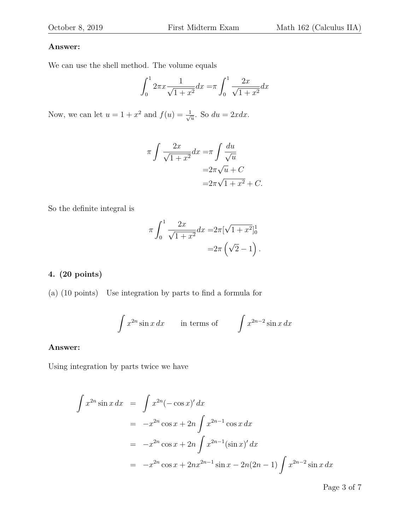#### **Answer:**

We can use the shell method. The volume equals

$$
\int_0^1 2\pi x \frac{1}{\sqrt{1+x^2}} dx = \pi \int_0^1 \frac{2x}{\sqrt{1+x^2}} dx
$$

Now, we can let  $u = 1 + x^2$  and  $f(u) = \frac{1}{\sqrt{2}}$  $\frac{1}{u}$ . So  $du = 2xdx$ .

$$
\pi \int \frac{2x}{\sqrt{1+x^2}} dx = \pi \int \frac{du}{\sqrt{u}}
$$

$$
= 2\pi \sqrt{u} + C
$$

$$
= 2\pi \sqrt{1+x^2} + C.
$$

So the definite integral is

$$
\pi \int_0^1 \frac{2x}{\sqrt{1+x^2}} dx = 2\pi [\sqrt{1+x^2}]_0^1
$$
  
=  $2\pi (\sqrt{2}-1).$ 

## **4. (20 points)**

(a) (10 points) Use integration by parts to find a formula for

$$
\int x^{2n} \sin x \, dx \qquad \text{in terms of} \qquad \int x^{2n-2} \sin x \, dx
$$

#### **Answer:**

Using integration by parts twice we have

$$
\int x^{2n} \sin x \, dx = \int x^{2n} (-\cos x)' \, dx
$$
  
=  $-x^{2n} \cos x + 2n \int x^{2n-1} \cos x \, dx$   
=  $-x^{2n} \cos x + 2n \int x^{2n-1} (\sin x)' \, dx$   
=  $-x^{2n} \cos x + 2nx^{2n-1} \sin x - 2n(2n - 1) \int x^{2n-2} \sin x \, dx$ 

Page 3 of 7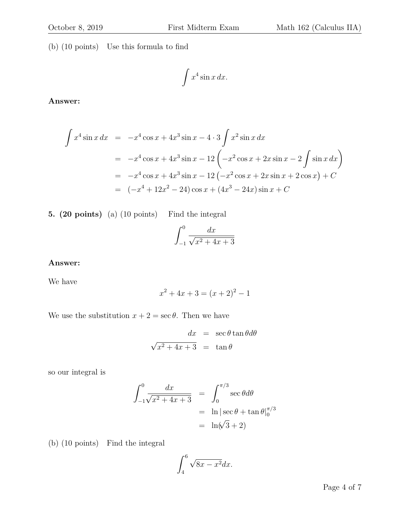(b) (10 points) Use this formula to find

$$
\int x^4 \sin x \, dx.
$$

**Answer:**

$$
\int x^4 \sin x \, dx = -x^4 \cos x + 4x^3 \sin x - 4 \cdot 3 \int x^2 \sin x \, dx
$$
  
=  $-x^4 \cos x + 4x^3 \sin x - 12 \left( -x^2 \cos x + 2x \sin x - 2 \int \sin x \, dx \right)$   
=  $-x^4 \cos x + 4x^3 \sin x - 12 \left( -x^2 \cos x + 2x \sin x + 2 \cos x \right) + C$   
=  $\left( -x^4 + 12x^2 - 24 \right) \cos x + \left( 4x^3 - 24x \right) \sin x + C$ 

## **5. (20 points)** (a) (10 points) Find the integral

$$
\int_{-1}^{0} \frac{dx}{\sqrt{x^2 + 4x + 3}}
$$

### **Answer:**

We have

$$
x^2 + 4x + 3 = (x+2)^2 - 1
$$

We use the substitution  $x + 2 = \sec \theta$ . Then we have

$$
dx = \sec \theta \tan \theta d\theta
$$
  

$$
\sqrt{x^2 + 4x + 3} = \tan \theta
$$

so our integral is

$$
\int_{-1}^{0} \frac{dx}{\sqrt{x^2 + 4x + 3}} = \int_{0}^{\pi/3} \sec \theta d\theta
$$

$$
= \ln |\sec \theta + \tan \theta|_{0}^{\pi/3}
$$

$$
= \ln(\sqrt{3} + 2)
$$

(b) (10 points) Find the integral

$$
\int_{4}^{6} \sqrt{8x - x^2} dx.
$$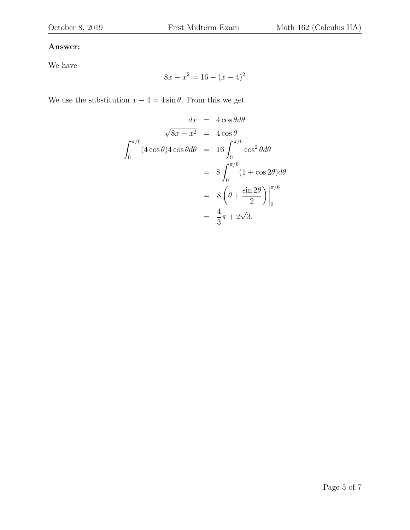## **Answer:**

We have

$$
8x - x^2 = 16 - (x - 4)^2
$$

We use the substitution  $x - 4 = 4 \sin \theta$ . From this we get

$$
dx = 4 \cos \theta d\theta
$$
  

$$
\sqrt{8x - x^2} = 4 \cos \theta
$$
  

$$
\int_0^{\pi/6} (4 \cos \theta) 4 \cos \theta d\theta = 16 \int_0^{\pi/6} \cos^2 \theta d\theta
$$
  

$$
= 8 \int_0^{\pi/6} (1 + \cos 2\theta) d\theta
$$
  

$$
= 8 \left(\theta + \frac{\sin 2\theta}{2}\right) \Big|_0^{\pi/6}
$$
  

$$
= \frac{4}{3}\pi + 2\sqrt{3}.
$$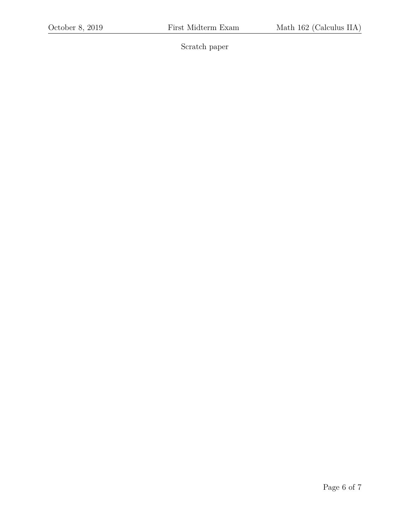Scratch paper